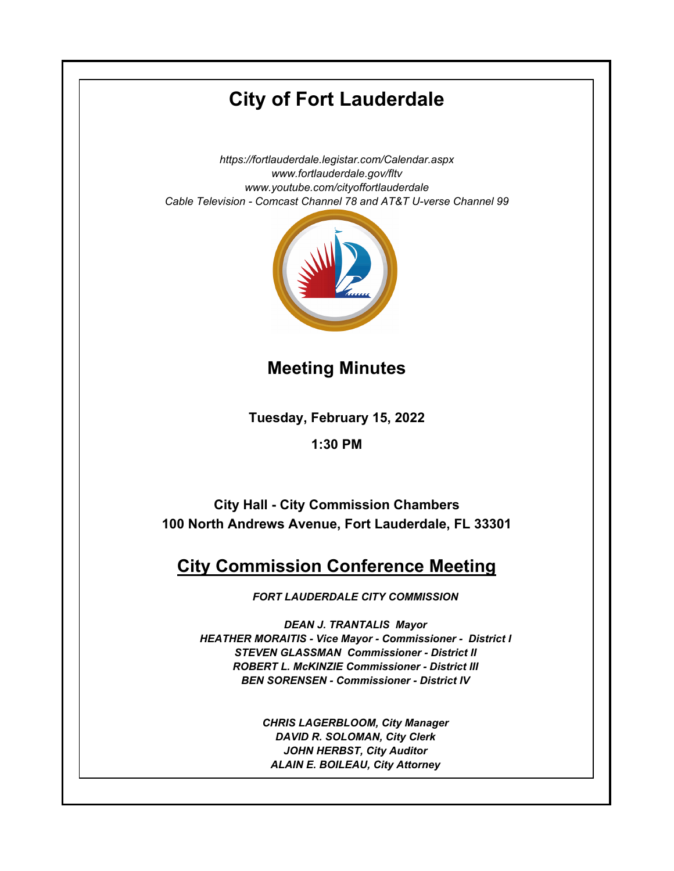# **City of Fort Lauderdale**

*https://fortlauderdale.legistar.com/Calendar.aspx www.fortlauderdale.gov/fltv www.youtube.com/cityoffortlauderdale Cable Television - Comcast Channel 78 and AT&T U-verse Channel 99*



**Meeting Minutes**

**Tuesday, February 15, 2022**

**1:30 PM**

**City Hall - City Commission Chambers 100 North Andrews Avenue, Fort Lauderdale, FL 33301**

## **City Commission Conference Meeting**

*FORT LAUDERDALE CITY COMMISSION*

*DEAN J. TRANTALIS Mayor HEATHER MORAITIS - Vice Mayor - Commissioner - District I STEVEN GLASSMAN Commissioner - District II ROBERT L. McKINZIE Commissioner - District III BEN SORENSEN - Commissioner - District IV* 

> *CHRIS LAGERBLOOM, City Manager DAVID R. SOLOMAN, City Clerk JOHN HERBST, City Auditor ALAIN E. BOILEAU, City Attorney*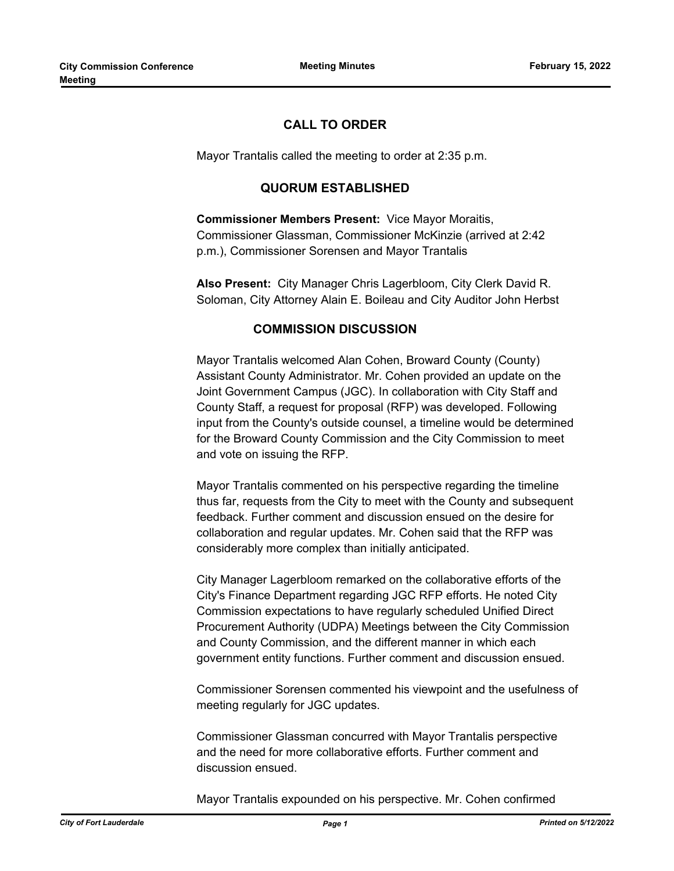## **CALL TO ORDER**

Mayor Trantalis called the meeting to order at 2:35 p.m.

## **QUORUM ESTABLISHED**

**Commissioner Members Present:** Vice Mayor Moraitis, Commissioner Glassman, Commissioner McKinzie (arrived at 2:42 p.m.), Commissioner Sorensen and Mayor Trantalis

**Also Present:** City Manager Chris Lagerbloom, City Clerk David R. Soloman, City Attorney Alain E. Boileau and City Auditor John Herbst

#### **COMMISSION DISCUSSION**

Mayor Trantalis welcomed Alan Cohen, Broward County (County) Assistant County Administrator. Mr. Cohen provided an update on the Joint Government Campus (JGC). In collaboration with City Staff and County Staff, a request for proposal (RFP) was developed. Following input from the County's outside counsel, a timeline would be determined for the Broward County Commission and the City Commission to meet and vote on issuing the RFP.

Mayor Trantalis commented on his perspective regarding the timeline thus far, requests from the City to meet with the County and subsequent feedback. Further comment and discussion ensued on the desire for collaboration and regular updates. Mr. Cohen said that the RFP was considerably more complex than initially anticipated.

City Manager Lagerbloom remarked on the collaborative efforts of the City's Finance Department regarding JGC RFP efforts. He noted City Commission expectations to have regularly scheduled Unified Direct Procurement Authority (UDPA) Meetings between the City Commission and County Commission, and the different manner in which each government entity functions. Further comment and discussion ensued.

Commissioner Sorensen commented his viewpoint and the usefulness of meeting regularly for JGC updates.

Commissioner Glassman concurred with Mayor Trantalis perspective and the need for more collaborative efforts. Further comment and discussion ensued.

Mayor Trantalis expounded on his perspective. Mr. Cohen confirmed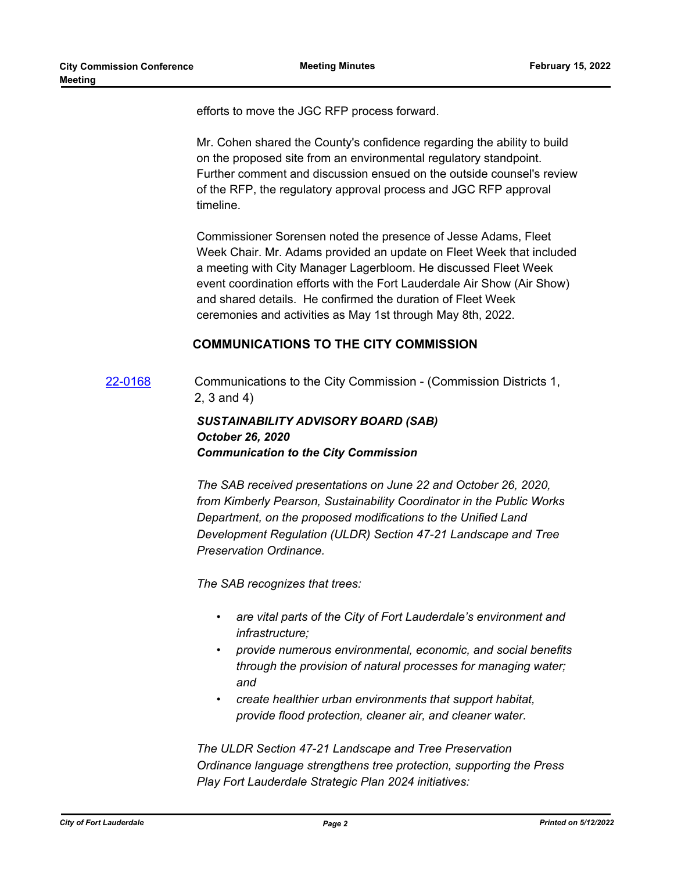efforts to move the JGC RFP process forward.

Mr. Cohen shared the County's confidence regarding the ability to build on the proposed site from an environmental regulatory standpoint. Further comment and discussion ensued on the outside counsel's review of the RFP, the regulatory approval process and JGC RFP approval timeline.

Commissioner Sorensen noted the presence of Jesse Adams, Fleet Week Chair. Mr. Adams provided an update on Fleet Week that included a meeting with City Manager Lagerbloom. He discussed Fleet Week event coordination efforts with the Fort Lauderdale Air Show (Air Show) and shared details. He confirmed the duration of Fleet Week ceremonies and activities as May 1st through May 8th, 2022.

#### **COMMUNICATIONS TO THE CITY COMMISSION**

[22-0168](http://fortlauderdale.legistar.com/gateway.aspx?m=l&id=/matter.aspx?key=16289) Communications to the City Commission - (Commission Districts 1, 2, 3 and 4)

## *SUSTAINABILITY ADVISORY BOARD (SAB) October 26, 2020 Communication to the City Commission*

*The SAB received presentations on June 22 and October 26, 2020, from Kimberly Pearson, Sustainability Coordinator in the Public Works Department, on the proposed modifications to the Unified Land Development Regulation (ULDR) Section 47-21 Landscape and Tree Preservation Ordinance.*

*The SAB recognizes that trees:*

- *• are vital parts of the City of Fort Lauderdale's environment and infrastructure;*
- *• provide numerous environmental, economic, and social benefits through the provision of natural processes for managing water; and*
- *• create healthier urban environments that support habitat, provide flood protection, cleaner air, and cleaner water.*

*The ULDR Section 47-21 Landscape and Tree Preservation Ordinance language strengthens tree protection, supporting the Press Play Fort Lauderdale Strategic Plan 2024 initiatives:*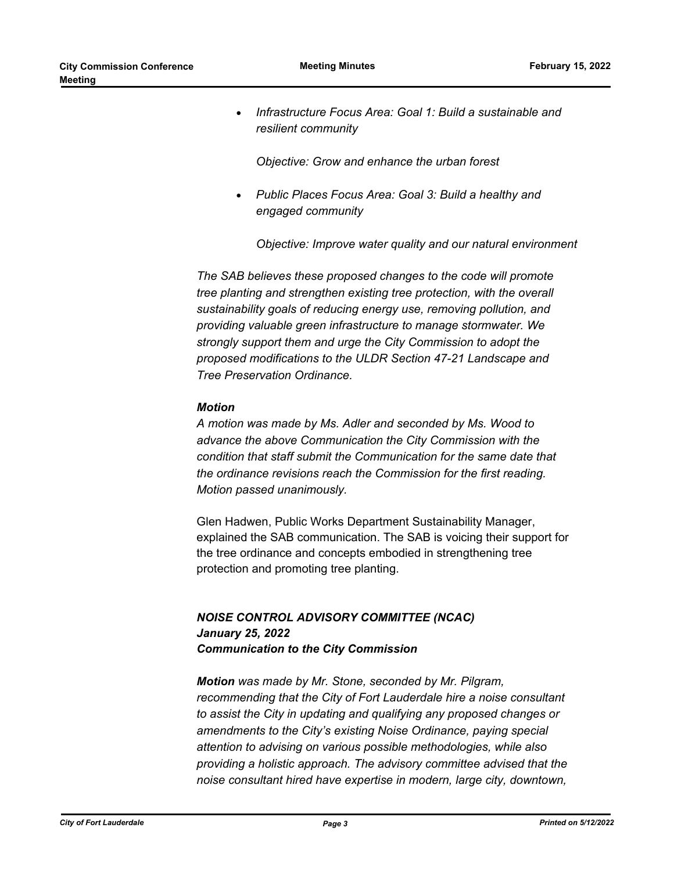· *Infrastructure Focus Area: Goal 1: Build a sustainable and resilient community*

*Objective: Grow and enhance the urban forest*

· *Public Places Focus Area: Goal 3: Build a healthy and engaged community*

*Objective: Improve water quality and our natural environment*

*The SAB believes these proposed changes to the code will promote tree planting and strengthen existing tree protection, with the overall sustainability goals of reducing energy use, removing pollution, and providing valuable green infrastructure to manage stormwater. We strongly support them and urge the City Commission to adopt the proposed modifications to the ULDR Section 47-21 Landscape and Tree Preservation Ordinance.*

#### *Motion*

*A motion was made by Ms. Adler and seconded by Ms. Wood to advance the above Communication the City Commission with the condition that staff submit the Communication for the same date that the ordinance revisions reach the Commission for the first reading. Motion passed unanimously.*

Glen Hadwen, Public Works Department Sustainability Manager, explained the SAB communication. The SAB is voicing their support for the tree ordinance and concepts embodied in strengthening tree protection and promoting tree planting.

## *NOISE CONTROL ADVISORY COMMITTEE (NCAC) January 25, 2022 Communication to the City Commission*

*Motion was made by Mr. Stone, seconded by Mr. Pilgram, recommending that the City of Fort Lauderdale hire a noise consultant to assist the City in updating and qualifying any proposed changes or amendments to the City's existing Noise Ordinance, paying special attention to advising on various possible methodologies, while also providing a holistic approach. The advisory committee advised that the noise consultant hired have expertise in modern, large city, downtown,*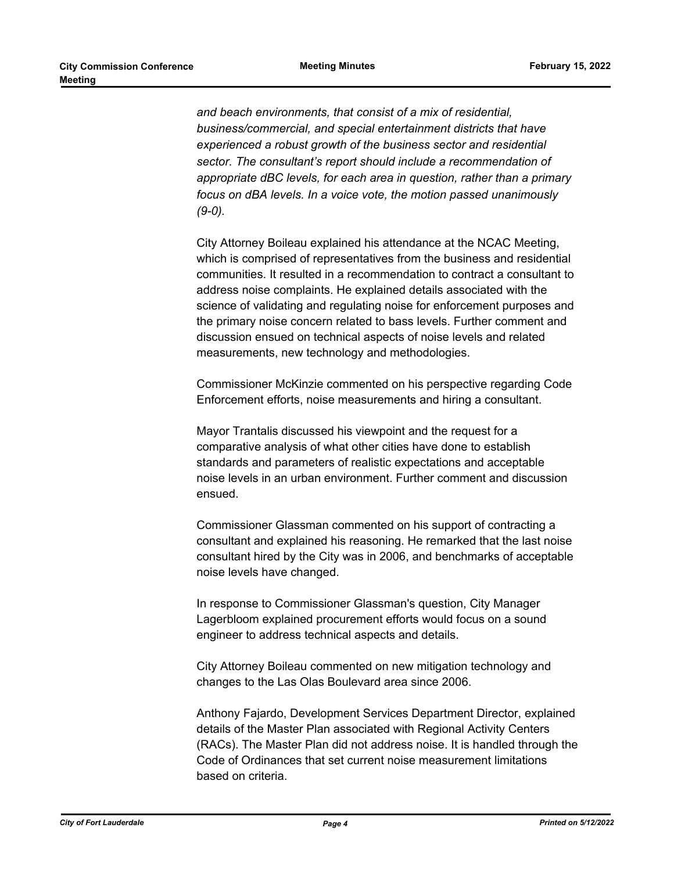*and beach environments, that consist of a mix of residential, business/commercial, and special entertainment districts that have experienced a robust growth of the business sector and residential sector. The consultant's report should include a recommendation of appropriate dBC levels, for each area in question, rather than a primary focus on dBA levels. In a voice vote, the motion passed unanimously (9-0).*

City Attorney Boileau explained his attendance at the NCAC Meeting, which is comprised of representatives from the business and residential communities. It resulted in a recommendation to contract a consultant to address noise complaints. He explained details associated with the science of validating and regulating noise for enforcement purposes and the primary noise concern related to bass levels. Further comment and discussion ensued on technical aspects of noise levels and related measurements, new technology and methodologies.

Commissioner McKinzie commented on his perspective regarding Code Enforcement efforts, noise measurements and hiring a consultant.

Mayor Trantalis discussed his viewpoint and the request for a comparative analysis of what other cities have done to establish standards and parameters of realistic expectations and acceptable noise levels in an urban environment. Further comment and discussion ensued.

Commissioner Glassman commented on his support of contracting a consultant and explained his reasoning. He remarked that the last noise consultant hired by the City was in 2006, and benchmarks of acceptable noise levels have changed.

In response to Commissioner Glassman's question, City Manager Lagerbloom explained procurement efforts would focus on a sound engineer to address technical aspects and details.

City Attorney Boileau commented on new mitigation technology and changes to the Las Olas Boulevard area since 2006.

Anthony Fajardo, Development Services Department Director, explained details of the Master Plan associated with Regional Activity Centers (RACs). The Master Plan did not address noise. It is handled through the Code of Ordinances that set current noise measurement limitations based on criteria.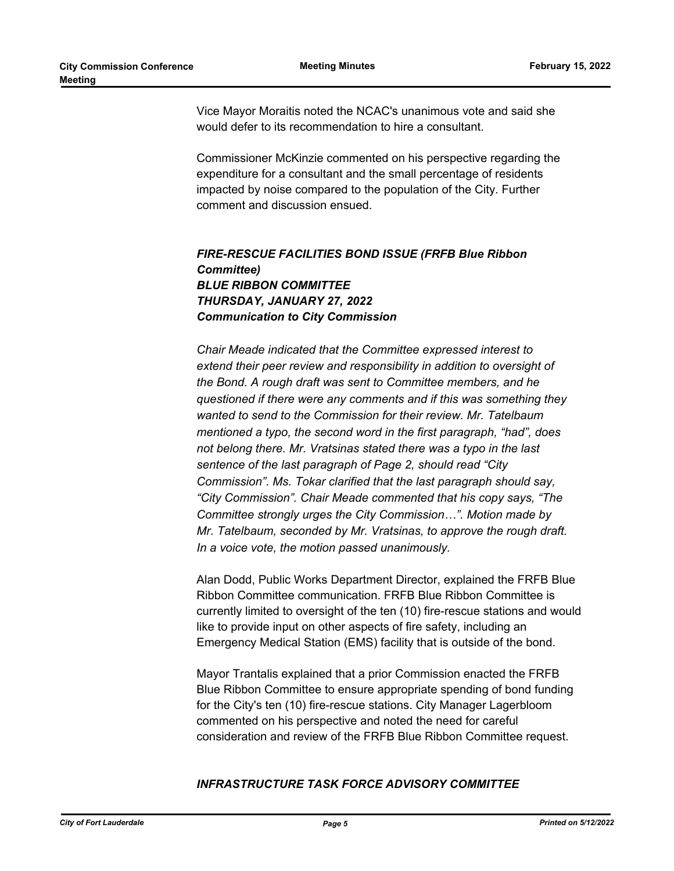Vice Mayor Moraitis noted the NCAC's unanimous vote and said she would defer to its recommendation to hire a consultant.

Commissioner McKinzie commented on his perspective regarding the expenditure for a consultant and the small percentage of residents impacted by noise compared to the population of the City. Further comment and discussion ensued.

## *FIRE-RESCUE FACILITIES BOND ISSUE (FRFB Blue Ribbon Committee) BLUE RIBBON COMMITTEE THURSDAY, JANUARY 27, 2022 Communication to City Commission*

*Chair Meade indicated that the Committee expressed interest to extend their peer review and responsibility in addition to oversight of the Bond. A rough draft was sent to Committee members, and he questioned if there were any comments and if this was something they wanted to send to the Commission for their review. Mr. Tatelbaum mentioned a typo, the second word in the first paragraph, "had", does not belong there. Mr. Vratsinas stated there was a typo in the last sentence of the last paragraph of Page 2, should read "City Commission". Ms. Tokar clarified that the last paragraph should say, "City Commission". Chair Meade commented that his copy says, "The Committee strongly urges the City Commission…". Motion made by Mr. Tatelbaum, seconded by Mr. Vratsinas, to approve the rough draft. In a voice vote, the motion passed unanimously.*

Alan Dodd, Public Works Department Director, explained the FRFB Blue Ribbon Committee communication. FRFB Blue Ribbon Committee is currently limited to oversight of the ten (10) fire-rescue stations and would like to provide input on other aspects of fire safety, including an Emergency Medical Station (EMS) facility that is outside of the bond.

Mayor Trantalis explained that a prior Commission enacted the FRFB Blue Ribbon Committee to ensure appropriate spending of bond funding for the City's ten (10) fire-rescue stations. City Manager Lagerbloom commented on his perspective and noted the need for careful consideration and review of the FRFB Blue Ribbon Committee request.

## *INFRASTRUCTURE TASK FORCE ADVISORY COMMITTEE*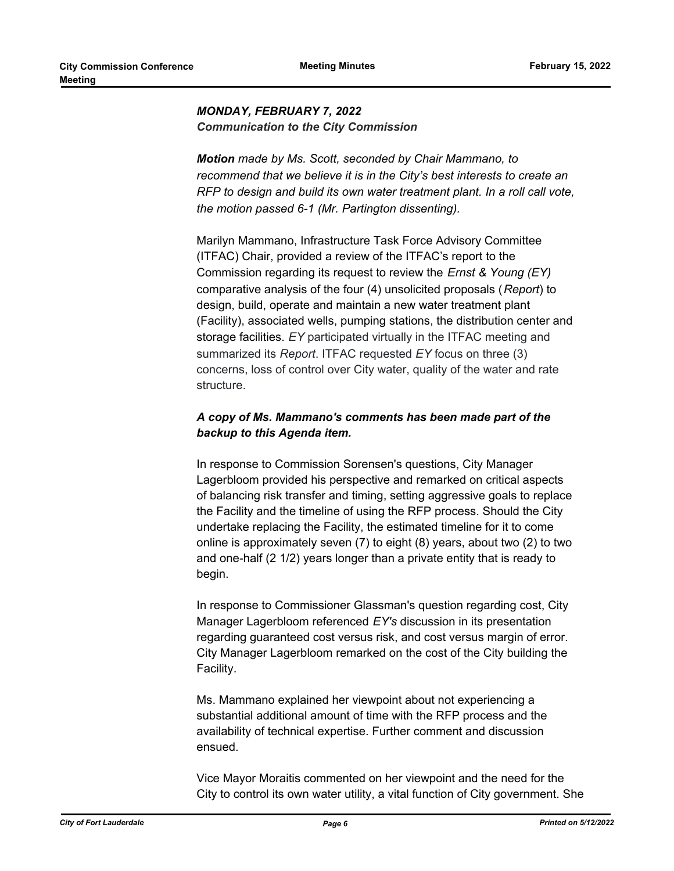## *MONDAY, FEBRUARY 7, 2022 Communication to the City Commission*

*Motion made by Ms. Scott, seconded by Chair Mammano, to recommend that we believe it is in the City's best interests to create an RFP to design and build its own water treatment plant. In a roll call vote, the motion passed 6-1 (Mr. Partington dissenting).*

Marilyn Mammano, Infrastructure Task Force Advisory Committee (ITFAC) Chair, provided a review of the ITFAC's report to the Commission regarding its request to review the *Ernst & Young (EY)*  comparative analysis of the four (4) unsolicited proposals (*Report*) to design, build, operate and maintain a new water treatment plant (Facility), associated wells, pumping stations, the distribution center and storage facilities. *EY* participated virtually in the ITFAC meeting and summarized its *Report*. ITFAC requested *EY* focus on three (3) concerns, loss of control over City water, quality of the water and rate structure.

## *A copy of Ms. Mammano's comments has been made part of the backup to this Agenda item.*

In response to Commission Sorensen's questions, City Manager Lagerbloom provided his perspective and remarked on critical aspects of balancing risk transfer and timing, setting aggressive goals to replace the Facility and the timeline of using the RFP process. Should the City undertake replacing the Facility, the estimated timeline for it to come online is approximately seven (7) to eight (8) years, about two (2) to two and one-half (2 1/2) years longer than a private entity that is ready to begin.

In response to Commissioner Glassman's question regarding cost, City Manager Lagerbloom referenced *EY's* discussion in its presentation regarding guaranteed cost versus risk, and cost versus margin of error. City Manager Lagerbloom remarked on the cost of the City building the Facility.

Ms. Mammano explained her viewpoint about not experiencing a substantial additional amount of time with the RFP process and the availability of technical expertise. Further comment and discussion ensued.

Vice Mayor Moraitis commented on her viewpoint and the need for the City to control its own water utility, a vital function of City government. She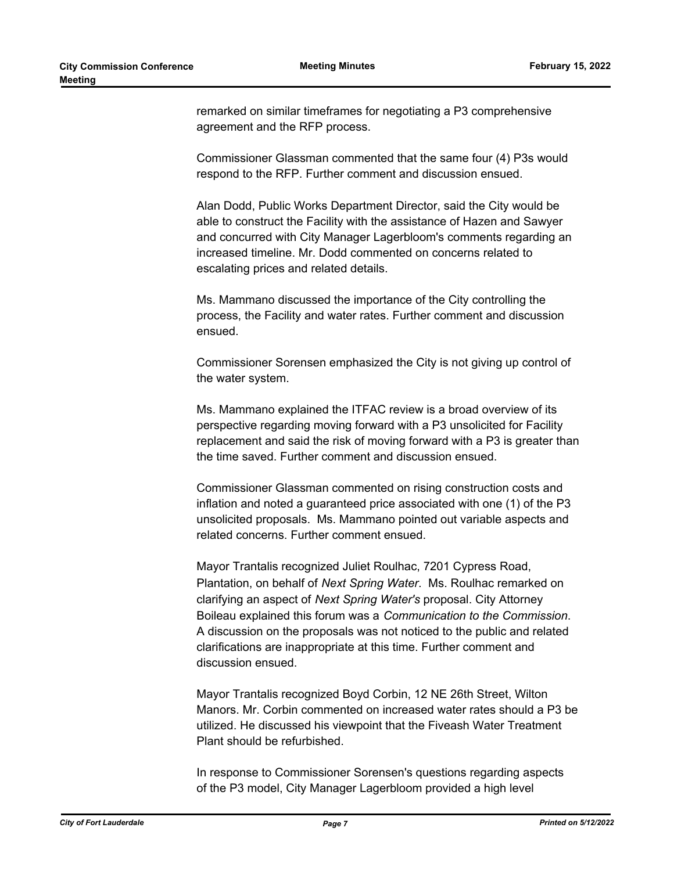remarked on similar timeframes for negotiating a P3 comprehensive agreement and the RFP process.

Commissioner Glassman commented that the same four (4) P3s would respond to the RFP. Further comment and discussion ensued.

Alan Dodd, Public Works Department Director, said the City would be able to construct the Facility with the assistance of Hazen and Sawyer and concurred with City Manager Lagerbloom's comments regarding an increased timeline. Mr. Dodd commented on concerns related to escalating prices and related details.

Ms. Mammano discussed the importance of the City controlling the process, the Facility and water rates. Further comment and discussion ensued.

Commissioner Sorensen emphasized the City is not giving up control of the water system.

Ms. Mammano explained the ITFAC review is a broad overview of its perspective regarding moving forward with a P3 unsolicited for Facility replacement and said the risk of moving forward with a P3 is greater than the time saved. Further comment and discussion ensued.

Commissioner Glassman commented on rising construction costs and inflation and noted a guaranteed price associated with one (1) of the P3 unsolicited proposals. Ms. Mammano pointed out variable aspects and related concerns. Further comment ensued.

Mayor Trantalis recognized Juliet Roulhac, 7201 Cypress Road, Plantation, on behalf of *Next Spring Water*. Ms. Roulhac remarked on clarifying an aspect of *Next Spring Water's* proposal. City Attorney Boileau explained this forum was a *Communication to the Commission*. A discussion on the proposals was not noticed to the public and related clarifications are inappropriate at this time. Further comment and discussion ensued.

Mayor Trantalis recognized Boyd Corbin, 12 NE 26th Street, Wilton Manors. Mr. Corbin commented on increased water rates should a P3 be utilized. He discussed his viewpoint that the Fiveash Water Treatment Plant should be refurbished.

In response to Commissioner Sorensen's questions regarding aspects of the P3 model, City Manager Lagerbloom provided a high level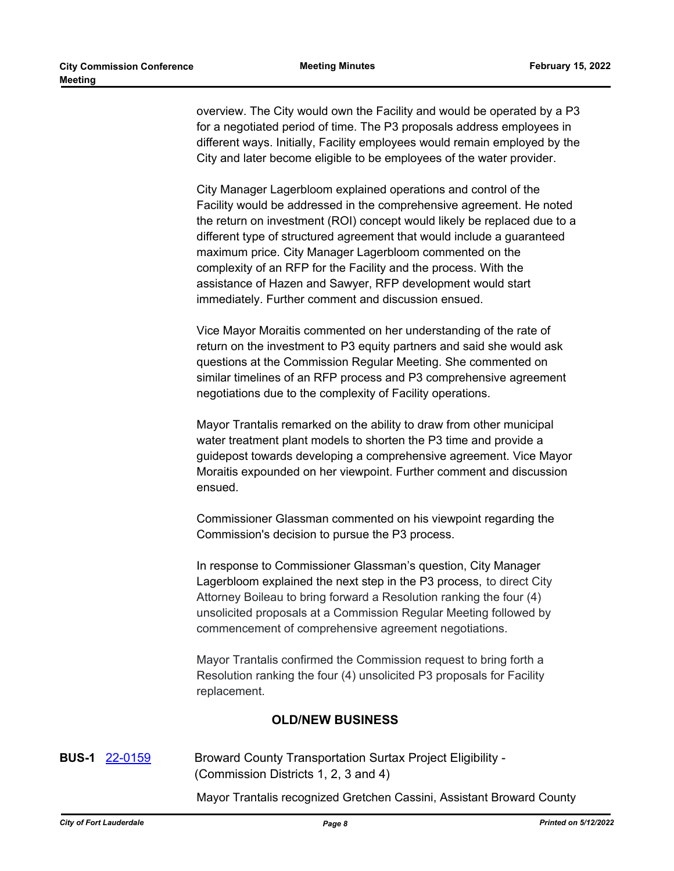overview. The City would own the Facility and would be operated by a P3 for a negotiated period of time. The P3 proposals address employees in different ways. Initially, Facility employees would remain employed by the City and later become eligible to be employees of the water provider.

City Manager Lagerbloom explained operations and control of the Facility would be addressed in the comprehensive agreement. He noted the return on investment (ROI) concept would likely be replaced due to a different type of structured agreement that would include a guaranteed maximum price. City Manager Lagerbloom commented on the complexity of an RFP for the Facility and the process. With the assistance of Hazen and Sawyer, RFP development would start immediately. Further comment and discussion ensued.

Vice Mayor Moraitis commented on her understanding of the rate of return on the investment to P3 equity partners and said she would ask questions at the Commission Regular Meeting. She commented on similar timelines of an RFP process and P3 comprehensive agreement negotiations due to the complexity of Facility operations.

Mayor Trantalis remarked on the ability to draw from other municipal water treatment plant models to shorten the P3 time and provide a guidepost towards developing a comprehensive agreement. Vice Mayor Moraitis expounded on her viewpoint. Further comment and discussion ensued.

Commissioner Glassman commented on his viewpoint regarding the Commission's decision to pursue the P3 process.

In response to Commissioner Glassman's question, City Manager Lagerbloom explained the next step in the P3 process, to direct City Attorney Boileau to bring forward a Resolution ranking the four (4) unsolicited proposals at a Commission Regular Meeting followed by commencement of comprehensive agreement negotiations.

Mayor Trantalis confirmed the Commission request to bring forth a Resolution ranking the four (4) unsolicited P3 proposals for Facility replacement.

## **OLD/NEW BUSINESS**

**BUS-1** [22-0159](http://fortlauderdale.legistar.com/gateway.aspx?m=l&id=/matter.aspx?key=16280) Broward County Transportation Surtax Project Eligibility - (Commission Districts 1, 2, 3 and 4)

Mayor Trantalis recognized Gretchen Cassini, Assistant Broward County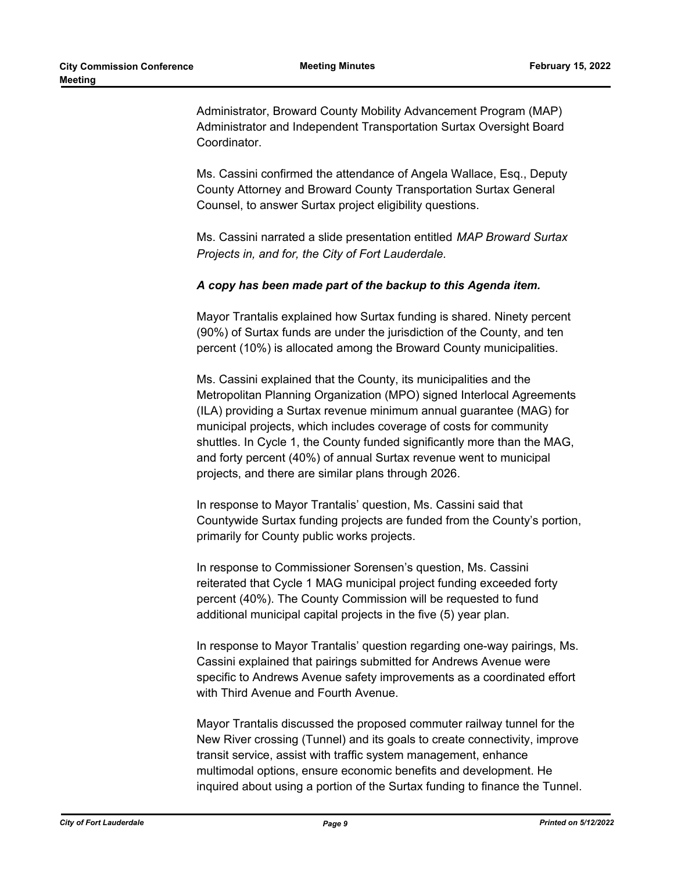Administrator, Broward County Mobility Advancement Program (MAP) Administrator and Independent Transportation Surtax Oversight Board Coordinator.

Ms. Cassini confirmed the attendance of Angela Wallace, Esq., Deputy County Attorney and Broward County Transportation Surtax General Counsel, to answer Surtax project eligibility questions.

Ms. Cassini narrated a slide presentation entitled *MAP Broward Surtax Projects in, and for, the City of Fort Lauderdale.*

#### *A copy has been made part of the backup to this Agenda item.*

Mayor Trantalis explained how Surtax funding is shared. Ninety percent (90%) of Surtax funds are under the jurisdiction of the County, and ten percent (10%) is allocated among the Broward County municipalities.

Ms. Cassini explained that the County, its municipalities and the Metropolitan Planning Organization (MPO) signed Interlocal Agreements (ILA) providing a Surtax revenue minimum annual guarantee (MAG) for municipal projects, which includes coverage of costs for community shuttles. In Cycle 1, the County funded significantly more than the MAG, and forty percent (40%) of annual Surtax revenue went to municipal projects, and there are similar plans through 2026.

In response to Mayor Trantalis' question, Ms. Cassini said that Countywide Surtax funding projects are funded from the County's portion, primarily for County public works projects.

In response to Commissioner Sorensen's question, Ms. Cassini reiterated that Cycle 1 MAG municipal project funding exceeded forty percent (40%). The County Commission will be requested to fund additional municipal capital projects in the five (5) year plan.

In response to Mayor Trantalis' question regarding one-way pairings, Ms. Cassini explained that pairings submitted for Andrews Avenue were specific to Andrews Avenue safety improvements as a coordinated effort with Third Avenue and Fourth Avenue.

Mayor Trantalis discussed the proposed commuter railway tunnel for the New River crossing (Tunnel) and its goals to create connectivity, improve transit service, assist with traffic system management, enhance multimodal options, ensure economic benefits and development. He inquired about using a portion of the Surtax funding to finance the Tunnel.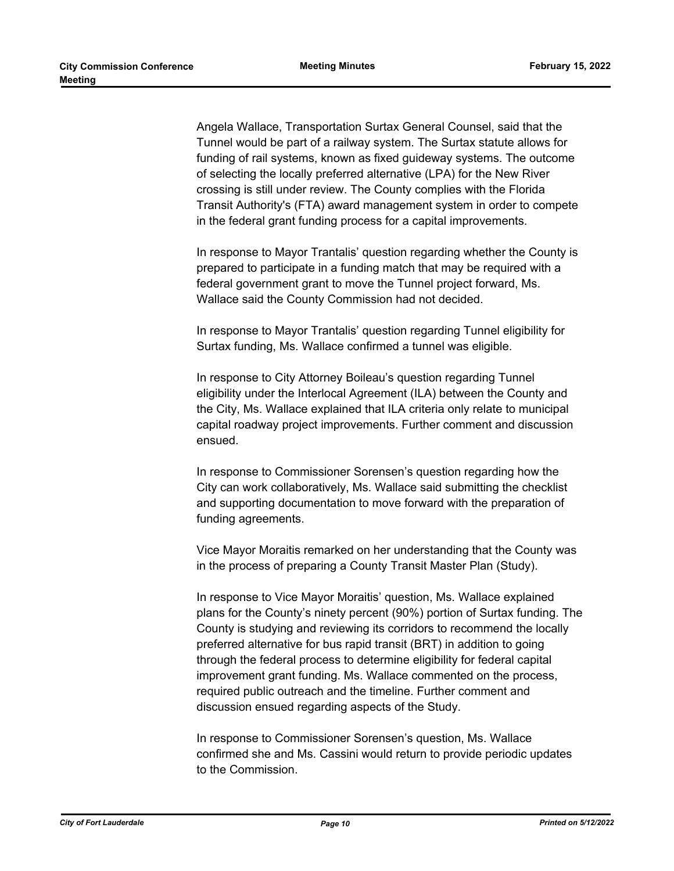Angela Wallace, Transportation Surtax General Counsel, said that the Tunnel would be part of a railway system. The Surtax statute allows for funding of rail systems, known as fixed guideway systems. The outcome of selecting the locally preferred alternative (LPA) for the New River crossing is still under review. The County complies with the Florida Transit Authority's (FTA) award management system in order to compete in the federal grant funding process for a capital improvements.

In response to Mayor Trantalis' question regarding whether the County is prepared to participate in a funding match that may be required with a federal government grant to move the Tunnel project forward, Ms. Wallace said the County Commission had not decided.

In response to Mayor Trantalis' question regarding Tunnel eligibility for Surtax funding, Ms. Wallace confirmed a tunnel was eligible.

In response to City Attorney Boileau's question regarding Tunnel eligibility under the Interlocal Agreement (ILA) between the County and the City, Ms. Wallace explained that ILA criteria only relate to municipal capital roadway project improvements. Further comment and discussion ensued.

In response to Commissioner Sorensen's question regarding how the City can work collaboratively, Ms. Wallace said submitting the checklist and supporting documentation to move forward with the preparation of funding agreements.

Vice Mayor Moraitis remarked on her understanding that the County was in the process of preparing a County Transit Master Plan (Study).

In response to Vice Mayor Moraitis' question, Ms. Wallace explained plans for the County's ninety percent (90%) portion of Surtax funding. The County is studying and reviewing its corridors to recommend the locally preferred alternative for bus rapid transit (BRT) in addition to going through the federal process to determine eligibility for federal capital improvement grant funding. Ms. Wallace commented on the process, required public outreach and the timeline. Further comment and discussion ensued regarding aspects of the Study.

In response to Commissioner Sorensen's question, Ms. Wallace confirmed she and Ms. Cassini would return to provide periodic updates to the Commission.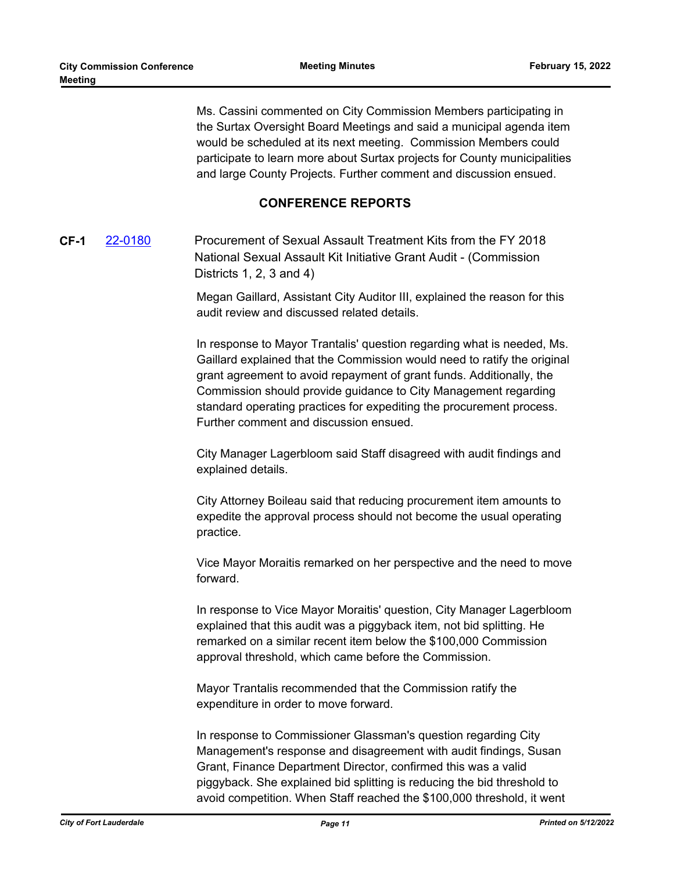Ms. Cassini commented on City Commission Members participating in the Surtax Oversight Board Meetings and said a municipal agenda item would be scheduled at its next meeting. Commission Members could participate to learn more about Surtax projects for County municipalities and large County Projects. Further comment and discussion ensued.

## **CONFERENCE REPORTS**

**CF-1** [22-0180](http://fortlauderdale.legistar.com/gateway.aspx?m=l&id=/matter.aspx?key=16301) Procurement of Sexual Assault Treatment Kits from the FY 2018 National Sexual Assault Kit Initiative Grant Audit - (Commission Districts 1, 2, 3 and 4)

> Megan Gaillard, Assistant City Auditor III, explained the reason for this audit review and discussed related details.

In response to Mayor Trantalis' question regarding what is needed, Ms. Gaillard explained that the Commission would need to ratify the original grant agreement to avoid repayment of grant funds. Additionally, the Commission should provide guidance to City Management regarding standard operating practices for expediting the procurement process. Further comment and discussion ensued.

City Manager Lagerbloom said Staff disagreed with audit findings and explained details.

City Attorney Boileau said that reducing procurement item amounts to expedite the approval process should not become the usual operating practice.

Vice Mayor Moraitis remarked on her perspective and the need to move forward.

In response to Vice Mayor Moraitis' question, City Manager Lagerbloom explained that this audit was a piggyback item, not bid splitting. He remarked on a similar recent item below the \$100,000 Commission approval threshold, which came before the Commission.

Mayor Trantalis recommended that the Commission ratify the expenditure in order to move forward.

In response to Commissioner Glassman's question regarding City Management's response and disagreement with audit findings, Susan Grant, Finance Department Director, confirmed this was a valid piggyback. She explained bid splitting is reducing the bid threshold to avoid competition. When Staff reached the \$100,000 threshold, it went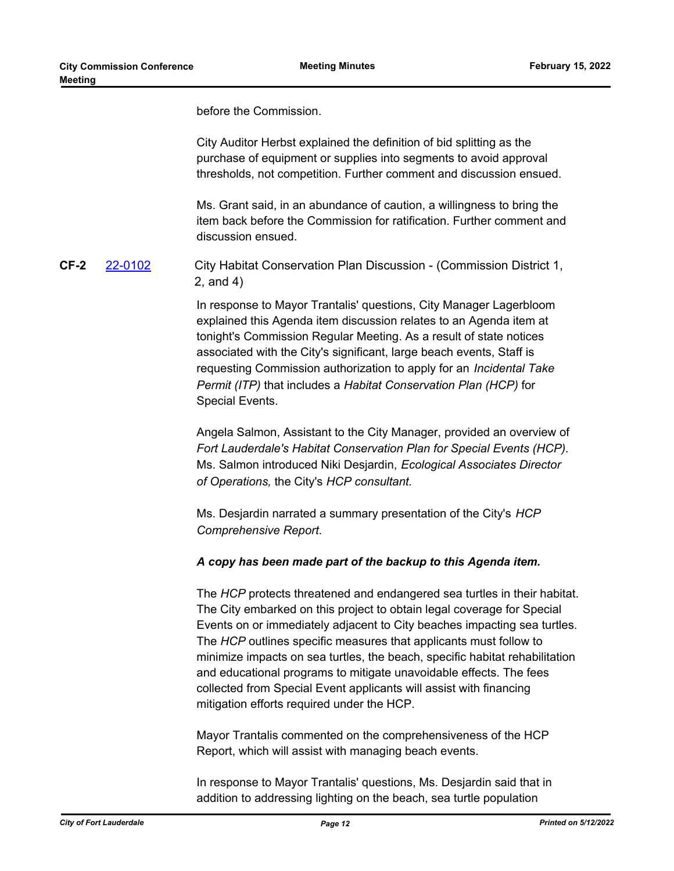before the Commission.

City Auditor Herbst explained the definition of bid splitting as the purchase of equipment or supplies into segments to avoid approval thresholds, not competition. Further comment and discussion ensued.

Ms. Grant said, in an abundance of caution, a willingness to bring the item back before the Commission for ratification. Further comment and discussion ensued.

**CF-2** [22-0102](http://fortlauderdale.legistar.com/gateway.aspx?m=l&id=/matter.aspx?key=16224) City Habitat Conservation Plan Discussion - (Commission District 1, 2, and 4)

> In response to Mayor Trantalis' questions, City Manager Lagerbloom explained this Agenda item discussion relates to an Agenda item at tonight's Commission Regular Meeting. As a result of state notices associated with the City's significant, large beach events, Staff is requesting Commission authorization to apply for an *Incidental Take Permit (ITP)* that includes a *Habitat Conservation Plan (HCP)* for Special Events.

Angela Salmon, Assistant to the City Manager, provided an overview of *Fort Lauderdale's Habitat Conservation Plan for Special Events (HCP).* Ms. Salmon introduced Niki Desjardin, *Ecological Associates Director of Operations,* the City's *HCP consultant.*

Ms. Desjardin narrated a summary presentation of the City's *HCP Comprehensive Report*.

#### *A copy has been made part of the backup to this Agenda item.*

The *HCP* protects threatened and endangered sea turtles in their habitat. The City embarked on this project to obtain legal coverage for Special Events on or immediately adjacent to City beaches impacting sea turtles. The *HCP* outlines specific measures that applicants must follow to minimize impacts on sea turtles, the beach, specific habitat rehabilitation and educational programs to mitigate unavoidable effects. The fees collected from Special Event applicants will assist with financing mitigation efforts required under the HCP.

Mayor Trantalis commented on the comprehensiveness of the HCP Report, which will assist with managing beach events.

In response to Mayor Trantalis' questions, Ms. Desjardin said that in addition to addressing lighting on the beach, sea turtle population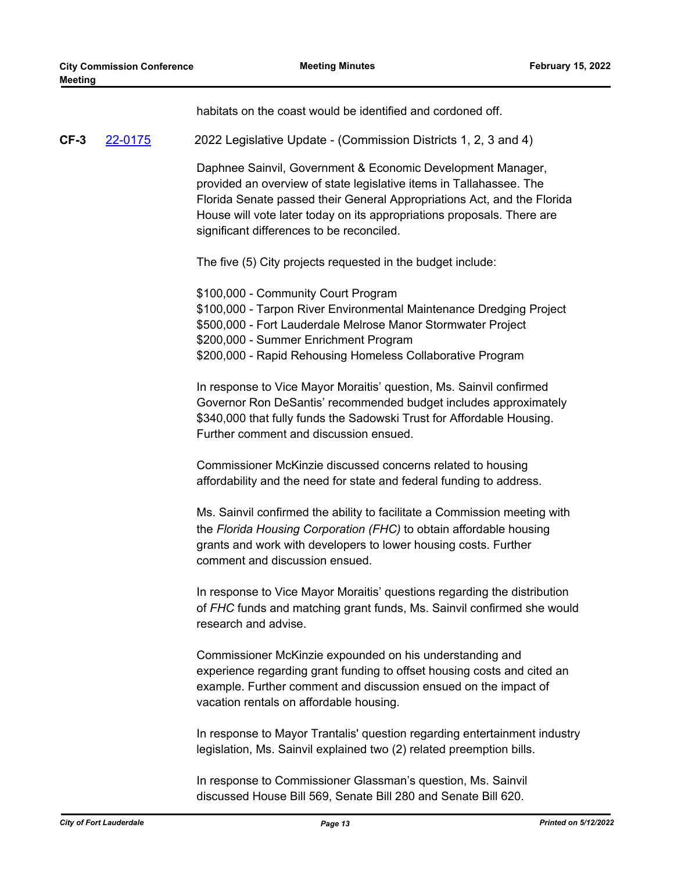habitats on the coast would be identified and cordoned off.

**CF-3** [22-0175](http://fortlauderdale.legistar.com/gateway.aspx?m=l&id=/matter.aspx?key=16296) 2022 Legislative Update - (Commission Districts 1, 2, 3 and 4)

Daphnee Sainvil, Government & Economic Development Manager, provided an overview of state legislative items in Tallahassee. The Florida Senate passed their General Appropriations Act, and the Florida House will vote later today on its appropriations proposals. There are significant differences to be reconciled.

The five (5) City projects requested in the budget include:

\$100,000 - Community Court Program \$100,000 - Tarpon River Environmental Maintenance Dredging Project \$500,000 - Fort Lauderdale Melrose Manor Stormwater Project \$200,000 - Summer Enrichment Program \$200,000 - Rapid Rehousing Homeless Collaborative Program

In response to Vice Mayor Moraitis' question, Ms. Sainvil confirmed Governor Ron DeSantis' recommended budget includes approximately \$340,000 that fully funds the Sadowski Trust for Affordable Housing. Further comment and discussion ensued.

Commissioner McKinzie discussed concerns related to housing affordability and the need for state and federal funding to address.

Ms. Sainvil confirmed the ability to facilitate a Commission meeting with the *Florida Housing Corporation (FHC)* to obtain affordable housing grants and work with developers to lower housing costs. Further comment and discussion ensued.

In response to Vice Mayor Moraitis' questions regarding the distribution of *FHC* funds and matching grant funds, Ms. Sainvil confirmed she would research and advise.

Commissioner McKinzie expounded on his understanding and experience regarding grant funding to offset housing costs and cited an example. Further comment and discussion ensued on the impact of vacation rentals on affordable housing.

In response to Mayor Trantalis' question regarding entertainment industry legislation, Ms. Sainvil explained two (2) related preemption bills.

In response to Commissioner Glassman's question, Ms. Sainvil discussed House Bill 569, Senate Bill 280 and Senate Bill 620.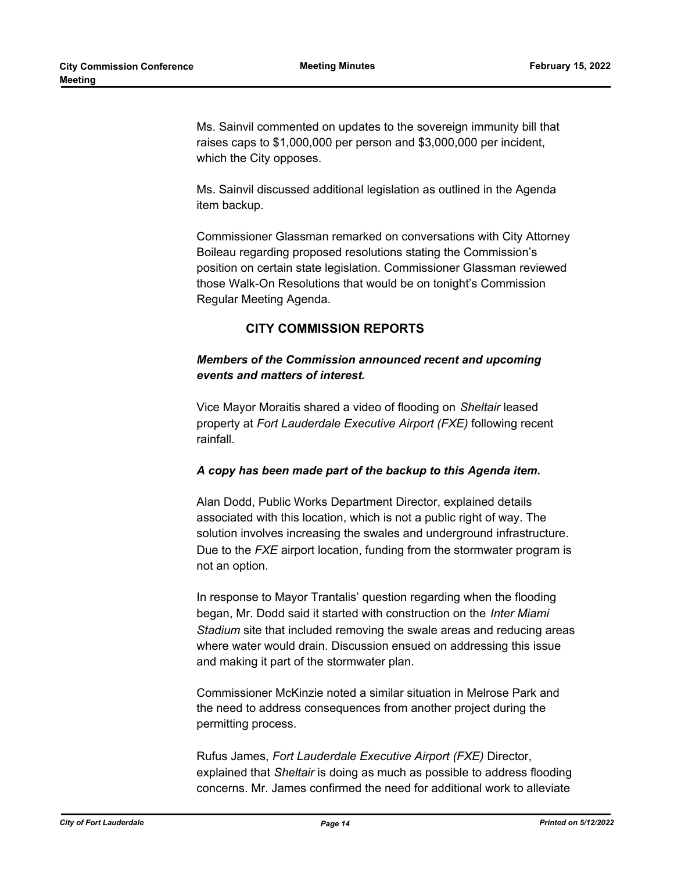Ms. Sainvil commented on updates to the sovereign immunity bill that raises caps to \$1,000,000 per person and \$3,000,000 per incident, which the City opposes.

Ms. Sainvil discussed additional legislation as outlined in the Agenda item backup.

Commissioner Glassman remarked on conversations with City Attorney Boileau regarding proposed resolutions stating the Commission's position on certain state legislation. Commissioner Glassman reviewed those Walk-On Resolutions that would be on tonight's Commission Regular Meeting Agenda.

## **CITY COMMISSION REPORTS**

## *Members of the Commission announced recent and upcoming events and matters of interest.*

Vice Mayor Moraitis shared a video of flooding on *Sheltair* leased property at *Fort Lauderdale Executive Airport (FXE)* following recent rainfall.

#### *A copy has been made part of the backup to this Agenda item.*

Alan Dodd, Public Works Department Director, explained details associated with this location, which is not a public right of way. The solution involves increasing the swales and underground infrastructure. Due to the *FXE* airport location, funding from the stormwater program is not an option.

In response to Mayor Trantalis' question regarding when the flooding began, Mr. Dodd said it started with construction on the *Inter Miami Stadium* site that included removing the swale areas and reducing areas where water would drain. Discussion ensued on addressing this issue and making it part of the stormwater plan.

Commissioner McKinzie noted a similar situation in Melrose Park and the need to address consequences from another project during the permitting process.

Rufus James, *Fort Lauderdale Executive Airport (FXE)* Director, explained that *Sheltair* is doing as much as possible to address flooding concerns. Mr. James confirmed the need for additional work to alleviate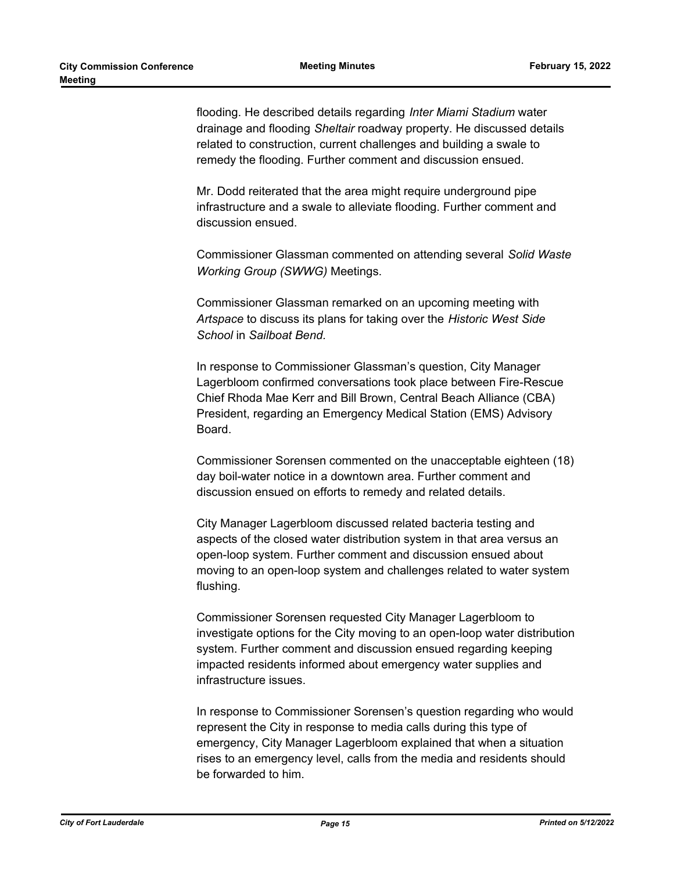flooding. He described details regarding *Inter Miami Stadium* water drainage and flooding *Sheltair* roadway property. He discussed details related to construction, current challenges and building a swale to remedy the flooding. Further comment and discussion ensued.

Mr. Dodd reiterated that the area might require underground pipe infrastructure and a swale to alleviate flooding. Further comment and discussion ensued.

Commissioner Glassman commented on attending several *Solid Waste Working Group (SWWG)* Meetings.

Commissioner Glassman remarked on an upcoming meeting with *Artspace* to discuss its plans for taking over the *Historic West Side School* in *Sailboat Bend.*

In response to Commissioner Glassman's question, City Manager Lagerbloom confirmed conversations took place between Fire-Rescue Chief Rhoda Mae Kerr and Bill Brown, Central Beach Alliance (CBA) President, regarding an Emergency Medical Station (EMS) Advisory Board.

Commissioner Sorensen commented on the unacceptable eighteen (18) day boil-water notice in a downtown area. Further comment and discussion ensued on efforts to remedy and related details.

City Manager Lagerbloom discussed related bacteria testing and aspects of the closed water distribution system in that area versus an open-loop system. Further comment and discussion ensued about moving to an open-loop system and challenges related to water system flushing.

Commissioner Sorensen requested City Manager Lagerbloom to investigate options for the City moving to an open-loop water distribution system. Further comment and discussion ensued regarding keeping impacted residents informed about emergency water supplies and infrastructure issues.

In response to Commissioner Sorensen's question regarding who would represent the City in response to media calls during this type of emergency, City Manager Lagerbloom explained that when a situation rises to an emergency level, calls from the media and residents should be forwarded to him.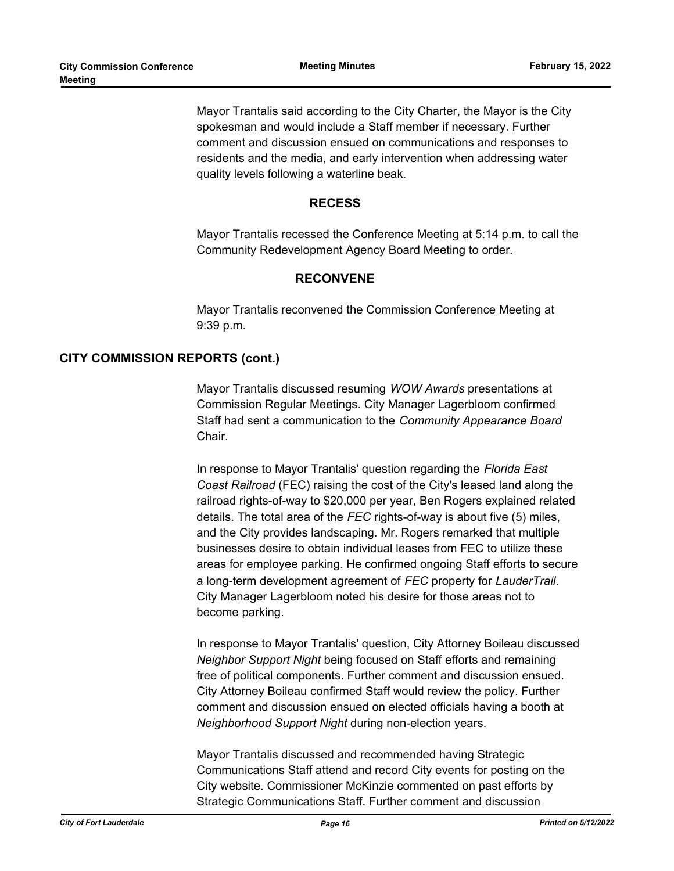Mayor Trantalis said according to the City Charter, the Mayor is the City spokesman and would include a Staff member if necessary. Further comment and discussion ensued on communications and responses to residents and the media, and early intervention when addressing water quality levels following a waterline beak.

#### **RECESS**

Mayor Trantalis recessed the Conference Meeting at 5:14 p.m. to call the Community Redevelopment Agency Board Meeting to order.

## **RECONVENE**

Mayor Trantalis reconvened the Commission Conference Meeting at 9:39 p.m.

## **CITY COMMISSION REPORTS (cont.)**

Mayor Trantalis discussed resuming *WOW Awards* presentations at Commission Regular Meetings. City Manager Lagerbloom confirmed Staff had sent a communication to the *Community Appearance Board* Chair.

In response to Mayor Trantalis' question regarding the *Florida East Coast Railroad* (FEC) raising the cost of the City's leased land along the railroad rights-of-way to \$20,000 per year, Ben Rogers explained related details. The total area of the *FEC* rights-of-way is about five (5) miles, and the City provides landscaping. Mr. Rogers remarked that multiple businesses desire to obtain individual leases from FEC to utilize these areas for employee parking. He confirmed ongoing Staff efforts to secure a long-term development agreement of *FEC* property for *LauderTrail*. City Manager Lagerbloom noted his desire for those areas not to become parking.

In response to Mayor Trantalis' question, City Attorney Boileau discussed *Neighbor Support Night* being focused on Staff efforts and remaining free of political components. Further comment and discussion ensued. City Attorney Boileau confirmed Staff would review the policy. Further comment and discussion ensued on elected officials having a booth at *Neighborhood Support Night* during non-election years.

Mayor Trantalis discussed and recommended having Strategic Communications Staff attend and record City events for posting on the City website. Commissioner McKinzie commented on past efforts by Strategic Communications Staff. Further comment and discussion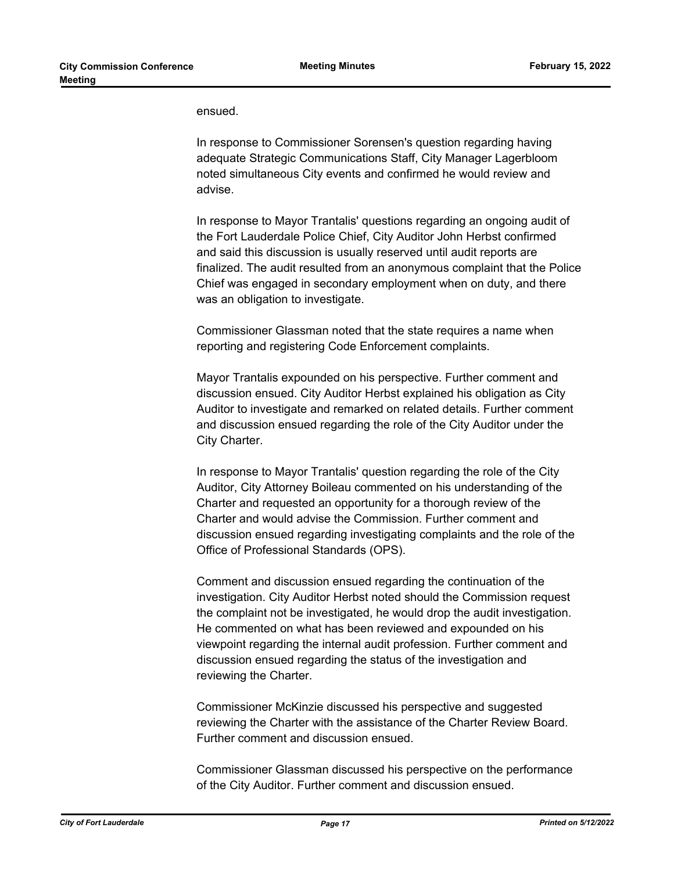ensued.

In response to Commissioner Sorensen's question regarding having adequate Strategic Communications Staff, City Manager Lagerbloom noted simultaneous City events and confirmed he would review and advise.

In response to Mayor Trantalis' questions regarding an ongoing audit of the Fort Lauderdale Police Chief, City Auditor John Herbst confirmed and said this discussion is usually reserved until audit reports are finalized. The audit resulted from an anonymous complaint that the Police Chief was engaged in secondary employment when on duty, and there was an obligation to investigate.

Commissioner Glassman noted that the state requires a name when reporting and registering Code Enforcement complaints.

Mayor Trantalis expounded on his perspective. Further comment and discussion ensued. City Auditor Herbst explained his obligation as City Auditor to investigate and remarked on related details. Further comment and discussion ensued regarding the role of the City Auditor under the City Charter.

In response to Mayor Trantalis' question regarding the role of the City Auditor, City Attorney Boileau commented on his understanding of the Charter and requested an opportunity for a thorough review of the Charter and would advise the Commission. Further comment and discussion ensued regarding investigating complaints and the role of the Office of Professional Standards (OPS).

Comment and discussion ensued regarding the continuation of the investigation. City Auditor Herbst noted should the Commission request the complaint not be investigated, he would drop the audit investigation. He commented on what has been reviewed and expounded on his viewpoint regarding the internal audit profession. Further comment and discussion ensued regarding the status of the investigation and reviewing the Charter.

Commissioner McKinzie discussed his perspective and suggested reviewing the Charter with the assistance of the Charter Review Board. Further comment and discussion ensued.

Commissioner Glassman discussed his perspective on the performance of the City Auditor. Further comment and discussion ensued.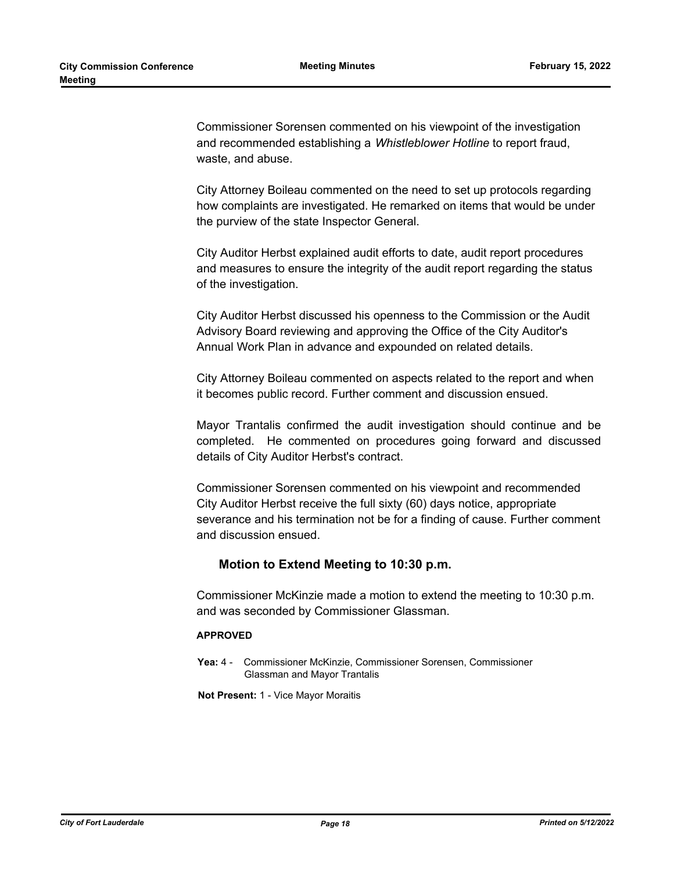Commissioner Sorensen commented on his viewpoint of the investigation and recommended establishing a *Whistleblower Hotline* to report fraud, waste, and abuse.

City Attorney Boileau commented on the need to set up protocols regarding how complaints are investigated. He remarked on items that would be under the purview of the state Inspector General.

City Auditor Herbst explained audit efforts to date, audit report procedures and measures to ensure the integrity of the audit report regarding the status of the investigation.

City Auditor Herbst discussed his openness to the Commission or the Audit Advisory Board reviewing and approving the Office of the City Auditor's Annual Work Plan in advance and expounded on related details.

City Attorney Boileau commented on aspects related to the report and when it becomes public record. Further comment and discussion ensued.

Mayor Trantalis confirmed the audit investigation should continue and be completed. He commented on procedures going forward and discussed details of City Auditor Herbst's contract.

Commissioner Sorensen commented on his viewpoint and recommended City Auditor Herbst receive the full sixty (60) days notice, appropriate severance and his termination not be for a finding of cause. Further comment and discussion ensued.

#### **Motion to Extend Meeting to 10:30 p.m.**

Commissioner McKinzie made a motion to extend the meeting to 10:30 p.m. and was seconded by Commissioner Glassman.

#### **APPROVED**

**Yea:** 4 - Commissioner McKinzie, Commissioner Sorensen, Commissioner Glassman and Mayor Trantalis

**Not Present:** 1 - Vice Mayor Moraitis